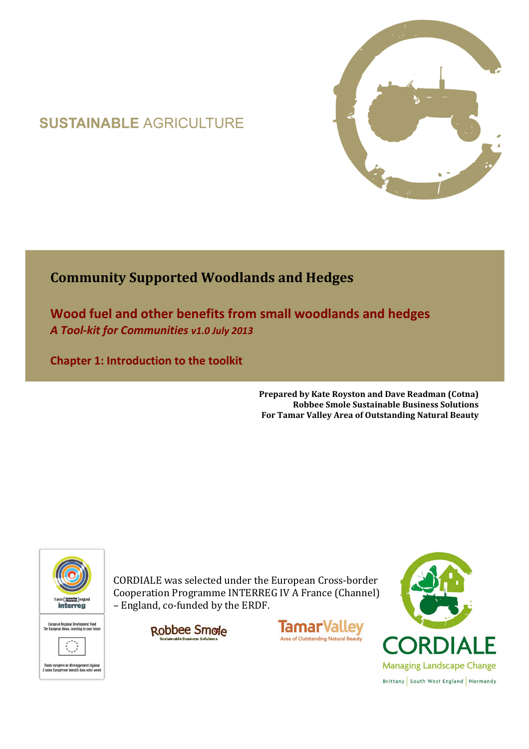# **SUSTAINABLE AGRICULTURE**



## **Community Supported Woodlands and Hedges**

**Wood fuel and other benefits from small woodlands and hedges**  *A Tool-kit for Communities v1.0 July 2013*

**Chapter 1: Introduction to the toolkit** 

**Prepared by Kate Royston and Dave Readman (Cotna) Robbee Smole Sustainable Business Solutions For Tamar Valley Area of Outstanding Natural Beauty**



CORDIALE was selected under the European Cross-border Cooperation Programme INTERREG IV A France (Channel) – England, co-funded by the ERDF.

Robbee Smole



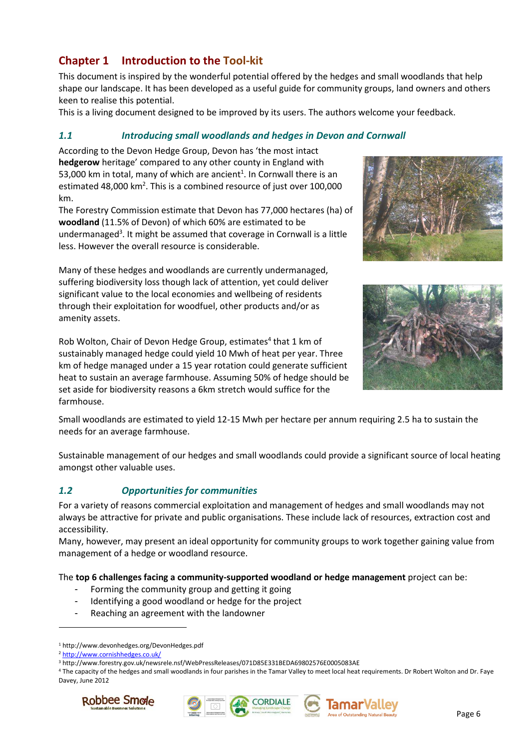## **Chapter 1 Introduction to the Tool-kit**

This document is inspired by the wonderful potential offered by the hedges and small woodlands that help shape our landscape. It has been developed as a useful guide for community groups, land owners and others keen to realise this potential.

This is a living document designed to be improved by its users. The authors welcome your feedback.

#### *1.1 Introducing small woodlands and hedges in Devon and Cornwall*

According to the Devon Hedge Group, Devon has 'the most intact **hedgerow** heritage' compared to any other county in England with 53,000 km in total, many of which are ancient<sup>1</sup>. In Cornwall there is an estimated 48,000 km<sup>2</sup>. This is a combined resource of just over  $100,000$ km.

The Forestry Commission estimate that Devon has 77,000 hectares (ha) of **woodland** (11.5% of Devon) of which 60% are estimated to be undermanaged<sup>3</sup>. It might be assumed that coverage in Cornwall is a little less. However the overall resource is considerable.

Many of these hedges and woodlands are currently undermanaged, suffering biodiversity loss though lack of attention, yet could deliver significant value to the local economies and wellbeing of residents through their exploitation for woodfuel, other products and/or as amenity assets.

Rob Wolton, Chair of Devon Hedge Group, estimates<sup>4</sup> that 1 km of sustainably managed hedge could yield 10 Mwh of heat per year. Three km of hedge managed under a 15 year rotation could generate sufficient heat to sustain an average farmhouse. Assuming 50% of hedge should be set aside for biodiversity reasons a 6km stretch would suffice for the farmhouse.





Small woodlands are estimated to yield 12-15 Mwh per hectare per annum requiring 2.5 ha to sustain the needs for an average farmhouse.

Sustainable management of our hedges and small woodlands could provide a significant source of local heating amongst other valuable uses.

### *1.2 Opportunities for communities*

For a variety of reasons commercial exploitation and management of hedges and small woodlands may not always be attractive for private and public organisations. These include lack of resources, extraction cost and accessibility.

Many, however, may present an ideal opportunity for community groups to work together gaining value from management of a hedge or woodland resource.

The **top 6 challenges facing a community-supported woodland or hedge management** project can be:

- Forming the community group and getting it going
- Identifying a good woodland or hedge for the project
- Reaching an agreement with the landowner

 $\overline{a}$ 

<sup>4</sup> The capacity of the hedges and small woodlands in four parishes in the Tamar Valley to meet local heat requirements. Dr Robert Wolton and Dr. Faye Davey, June 2012









<sup>1</sup> http://www.devonhedges.org/DevonHedges.pdf

<sup>2</sup> http://www.cornishhedges.co.uk/

<sup>3</sup> http://www.forestry.gov.uk/newsrele.nsf/WebPressReleases/071D85E331BEDA69802576E0005083AE